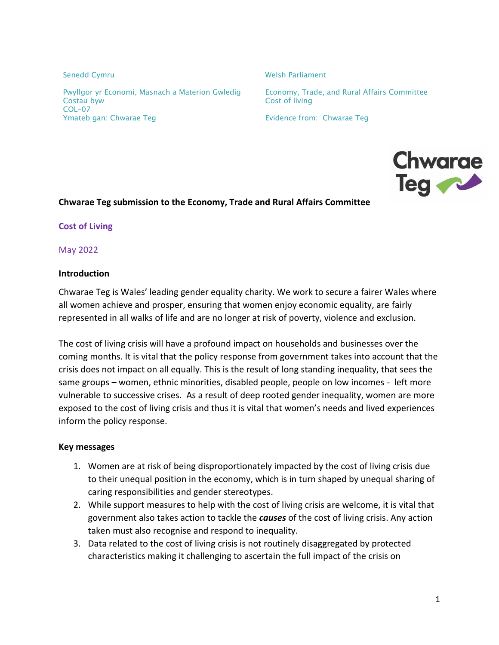Pwyllgor yr Economi, Masnach a Materion Gwledig Freenomy, Trade, and Rural Affairs Committee Costau byw Cost of living COL–07 Ymateb gan: Chwarae Teg Evidence from: Chwarae Teg

Senedd Cymru Nelsh Parliament



#### **Chwarae Teg submission to the Economy, Trade and Rural Affairs Committee**

**Cost of Living**

May 2022

#### **Introduction**

Chwarae Teg is Wales' leading gender equality charity. We work to secure a fairer Wales where all women achieve and prosper, ensuring that women enjoy economic equality, are fairly represented in all walks of life and are no longer at risk of poverty, violence and exclusion.

The cost of living crisis will have a profound impact on households and businesses over the coming months. It is vital that the policy response from government takes into account that the crisis does not impact on all equally. This is the result of long standing inequality, that sees the same groups – women, ethnic minorities, disabled people, people on low incomes - left more vulnerable to successive crises. As a result of deep rooted gender inequality, women are more exposed to the cost of living crisis and thus it is vital that women's needs and lived experiences inform the policy response.

#### **Key messages**

- 1. Women are at risk of being disproportionately impacted by the cost of living crisis due to their unequal position in the economy, which is in turn shaped by unequal sharing of caring responsibilities and gender stereotypes.
- 2. While support measures to help with the cost of living crisis are welcome, it is vital that government also takes action to tackle the *causes* of the cost of living crisis. Any action taken must also recognise and respond to inequality.
- 3. Data related to the cost of living crisis is not routinely disaggregated by protected characteristics making it challenging to ascertain the full impact of the crisis on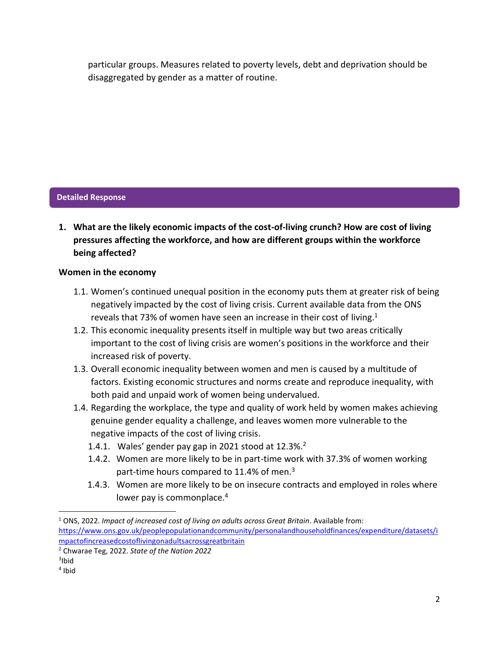particular groups. Measures related to poverty levels, debt and deprivation should be disaggregated by gender as a matter of routine.

# **Detailed Response**

**1. What are the likely economic impacts of the cost-of-living crunch? How are cost of living pressures affecting the workforce, and how are different groups within the workforce being affected?**

## **Women in the economy**

- 1.1. Women's continued unequal position in the economy puts them at greater risk of being negatively impacted by the cost of living crisis. Current available data from the ONS reveals that 73% of women have seen an increase in their cost of living.<sup>1</sup>
- 1.2. This economic inequality presents itself in multiple way but two areas critically important to the cost of living crisis are women's positions in the workforce and their increased risk of poverty.
- 1.3. Overall economic inequality between women and men is caused by a multitude of factors. Existing economic structures and norms create and reproduce inequality, with both paid and unpaid work of women being undervalued.
- 1.4. Regarding the workplace, the type and quality of work held by women makes achieving genuine gender equality a challenge, and leaves women more vulnerable to the negative impacts of the cost of living crisis.
	- 1.4.1. Wales' gender pay gap in 2021 stood at  $12.3\%$ .<sup>2</sup>
	- 1.4.2. Women are more likely to be in part-time work with 37.3% of women working part-time hours compared to 11.4% of men.<sup>3</sup>
	- 1.4.3. Women are more likely to be on insecure contracts and employed in roles where lower pay is commonplace.<sup>4</sup>

 $\overline{\phantom{a}}$ 

<sup>1</sup> ONS, 2022. *Impact of increased cost of living on adults across Great Britain*. Available from: [https://www.ons.gov.uk/peoplepopulationandcommunity/personalandhouseholdfinances/expenditure/datasets/i](https://www.ons.gov.uk/peoplepopulationandcommunity/personalandhouseholdfinances/expenditure/datasets/impactofincreasedcostoflivingonadultsacrossgreatbritain) [mpactofincreasedcostoflivingonadultsacrossgreatbritain](https://www.ons.gov.uk/peoplepopulationandcommunity/personalandhouseholdfinances/expenditure/datasets/impactofincreasedcostoflivingonadultsacrossgreatbritain)

<sup>2</sup> Chwarae Teg, 2022. *State of the Nation 2022*

 $3$ lbid

<sup>4</sup> Ibid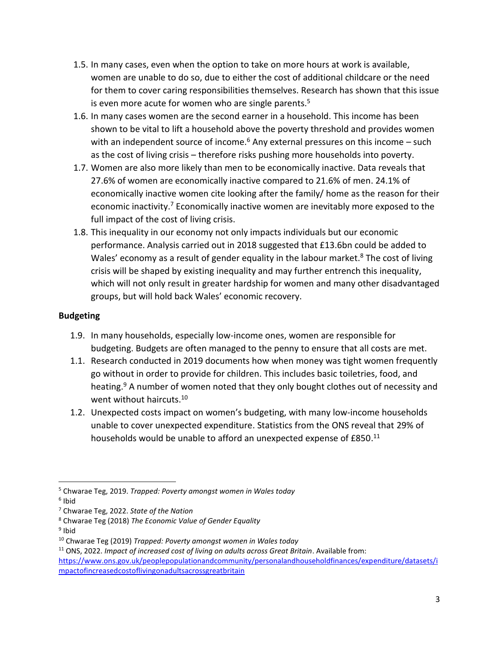- 1.5. In many cases, even when the option to take on more hours at work is available, women are unable to do so, due to either the cost of additional childcare or the need for them to cover caring responsibilities themselves. Research has shown that this issue is even more acute for women who are single parents. $5$
- 1.6. In many cases women are the second earner in a household. This income has been shown to be vital to lift a household above the poverty threshold and provides women with an independent source of income.<sup>6</sup> Any external pressures on this income  $-$  such as the cost of living crisis – therefore risks pushing more households into poverty.
- 1.7. Women are also more likely than men to be economically inactive. Data reveals that 27.6% of women are economically inactive compared to 21.6% of men. 24.1% of economically inactive women cite looking after the family/ home as the reason for their economic inactivity.<sup>7</sup> Economically inactive women are inevitably more exposed to the full impact of the cost of living crisis.
- 1.8. This inequality in our economy not only impacts individuals but our economic performance. Analysis carried out in 2018 suggested that £13.6bn could be added to Wales' economy as a result of gender equality in the labour market.<sup>8</sup> The cost of living crisis will be shaped by existing inequality and may further entrench this inequality, which will not only result in greater hardship for women and many other disadvantaged groups, but will hold back Wales' economic recovery.

## **Budgeting**

- 1.9. In many households, especially low-income ones, women are responsible for budgeting. Budgets are often managed to the penny to ensure that all costs are met.
- 1.1. Research conducted in 2019 documents how when money was tight women frequently go without in order to provide for children. This includes basic toiletries, food, and heating.<sup>9</sup> A number of women noted that they only bought clothes out of necessity and went without haircuts.<sup>10</sup>
- 1.2. Unexpected costs impact on women's budgeting, with many low-income households unable to cover unexpected expenditure. Statistics from the ONS reveal that 29% of households would be unable to afford an unexpected expense of  $E850.^{11}$

 $\overline{\phantom{a}}$ <sup>5</sup> Chwarae Teg, 2019. *Trapped: Poverty amongst women in Wales today*

<sup>&</sup>lt;sup>6</sup> Ibid

<sup>7</sup> Chwarae Teg, 2022. *State of the Nation*

<sup>8</sup> Chwarae Teg (2018) *The Economic Value of Gender Equality* 

<sup>&</sup>lt;sup>9</sup> Ibid

<sup>10</sup> Chwarae Teg (2019) *Trapped: Poverty amongst women in Wales today*

<sup>11</sup> ONS, 2022. *Impact of increased cost of living on adults across Great Britain*. Available from: [https://www.ons.gov.uk/peoplepopulationandcommunity/personalandhouseholdfinances/expenditure/datasets/i](https://www.ons.gov.uk/peoplepopulationandcommunity/personalandhouseholdfinances/expenditure/datasets/impactofincreasedcostoflivingonadultsacrossgreatbritain) [mpactofincreasedcostoflivingonadultsacrossgreatbritain](https://www.ons.gov.uk/peoplepopulationandcommunity/personalandhouseholdfinances/expenditure/datasets/impactofincreasedcostoflivingonadultsacrossgreatbritain)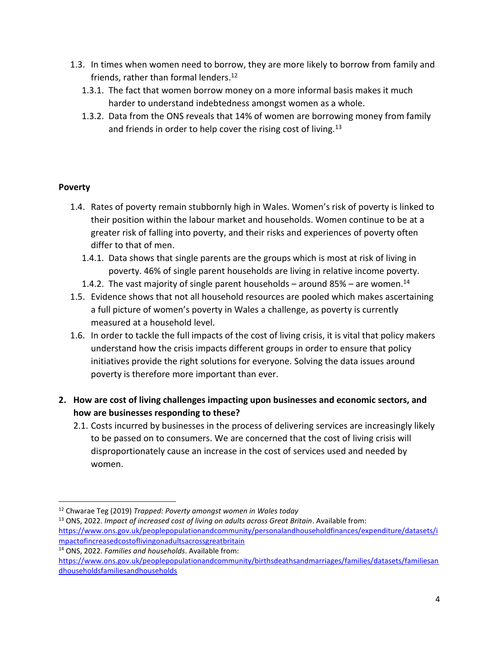- 1.3. In times when women need to borrow, they are more likely to borrow from family and friends, rather than formal lenders. $12$ 
	- 1.3.1. The fact that women borrow money on a more informal basis makes it much harder to understand indebtedness amongst women as a whole.
	- 1.3.2. Data from the ONS reveals that 14% of women are borrowing money from family and friends in order to help cover the rising cost of living.<sup>13</sup>

## **Poverty**

 $\overline{\phantom{a}}$ 

- 1.4. Rates of poverty remain stubbornly high in Wales. Women's risk of poverty is linked to their position within the labour market and households. Women continue to be at a greater risk of falling into poverty, and their risks and experiences of poverty often differ to that of men.
	- 1.4.1. Data shows that single parents are the groups which is most at risk of living in poverty. 46% of single parent households are living in relative income poverty.
	- 1.4.2. The vast majority of single parent households around 85% are women.<sup>14</sup>
- 1.5. Evidence shows that not all household resources are pooled which makes ascertaining a full picture of women's poverty in Wales a challenge, as poverty is currently measured at a household level.
- 1.6. In order to tackle the full impacts of the cost of living crisis, it is vital that policy makers understand how the crisis impacts different groups in order to ensure that policy initiatives provide the right solutions for everyone. Solving the data issues around poverty is therefore more important than ever.
- **2. How are cost of living challenges impacting upon businesses and economic sectors, and how are businesses responding to these?**
	- 2.1. Costs incurred by businesses in the process of delivering services are increasingly likely to be passed on to consumers. We are concerned that the cost of living crisis will disproportionately cause an increase in the cost of services used and needed by women.

<sup>12</sup> Chwarae Teg (2019) *Trapped: Poverty amongst women in Wales today*

<sup>13</sup> ONS, 2022. *Impact of increased cost of living on adults across Great Britain*. Available from: [https://www.ons.gov.uk/peoplepopulationandcommunity/personalandhouseholdfinances/expenditure/datasets/i](https://www.ons.gov.uk/peoplepopulationandcommunity/personalandhouseholdfinances/expenditure/datasets/impactofincreasedcostoflivingonadultsacrossgreatbritain) [mpactofincreasedcostoflivingonadultsacrossgreatbritain](https://www.ons.gov.uk/peoplepopulationandcommunity/personalandhouseholdfinances/expenditure/datasets/impactofincreasedcostoflivingonadultsacrossgreatbritain)

<sup>14</sup> ONS, 2022. *Families and households*. Available from: [https://www.ons.gov.uk/peoplepopulationandcommunity/birthsdeathsandmarriages/families/datasets/familiesan](https://www.ons.gov.uk/peoplepopulationandcommunity/birthsdeathsandmarriages/families/datasets/familiesandhouseholdsfamiliesandhouseholds) [dhouseholdsfamiliesandhouseholds](https://www.ons.gov.uk/peoplepopulationandcommunity/birthsdeathsandmarriages/families/datasets/familiesandhouseholdsfamiliesandhouseholds)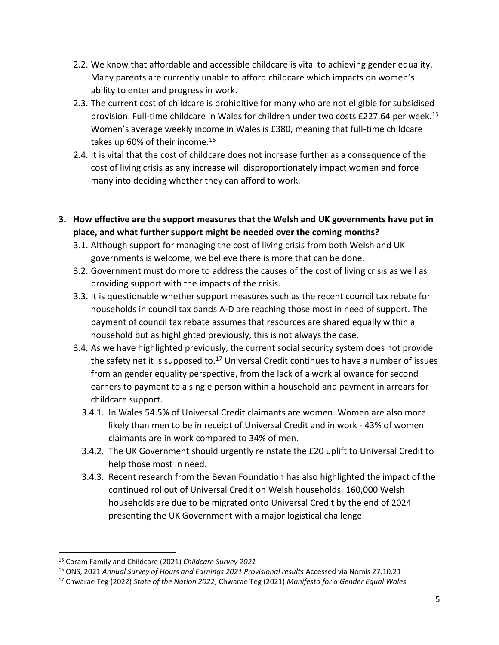- 2.2. We know that affordable and accessible childcare is vital to achieving gender equality. Many parents are currently unable to afford childcare which impacts on women's ability to enter and progress in work.
- 2.3. The current cost of childcare is prohibitive for many who are not eligible for subsidised provision. Full-time childcare in Wales for children under two costs £227.64 per week.<sup>15</sup> Women's average weekly income in Wales is £380, meaning that full-time childcare takes up 60% of their income.<sup>16</sup>
- 2.4. It is vital that the cost of childcare does not increase further as a consequence of the cost of living crisis as any increase will disproportionately impact women and force many into deciding whether they can afford to work.
- **3. How effective are the support measures that the Welsh and UK governments have put in place, and what further support might be needed over the coming months?**
	- 3.1. Although support for managing the cost of living crisis from both Welsh and UK governments is welcome, we believe there is more that can be done.
	- 3.2. Government must do more to address the causes of the cost of living crisis as well as providing support with the impacts of the crisis.
	- 3.3. It is questionable whether support measures such as the recent council tax rebate for households in council tax bands A-D are reaching those most in need of support. The payment of council tax rebate assumes that resources are shared equally within a household but as highlighted previously, this is not always the case.
	- 3.4. As we have highlighted previously, the current social security system does not provide the safety net it is supposed to. $17$  Universal Credit continues to have a number of issues from an gender equality perspective, from the lack of a work allowance for second earners to payment to a single person within a household and payment in arrears for childcare support.
		- 3.4.1. In Wales 54.5% of Universal Credit claimants are women. Women are also more likely than men to be in receipt of Universal Credit and in work - 43% of women claimants are in work compared to 34% of men.
		- 3.4.2. The UK Government should urgently reinstate the £20 uplift to Universal Credit to help those most in need.
		- 3.4.3. Recent research from the Bevan Foundation has also highlighted the impact of the continued rollout of Universal Credit on Welsh households. 160,000 Welsh households are due to be migrated onto Universal Credit by the end of 2024 presenting the UK Government with a major logistical challenge.

 $\overline{a}$ 

<sup>15</sup> Coram Family and Childcare (2021) *Childcare Survey 2021*

<sup>16</sup> ONS, 2021 *Annual Survey of Hours and Earnings 2021 Provisional results* Accessed via Nomis 27.10.21

<sup>17</sup> Chwarae Teg (2022) *State of the Nation 2022*; Chwarae Teg (2021) *Manifesto for a Gender Equal Wales*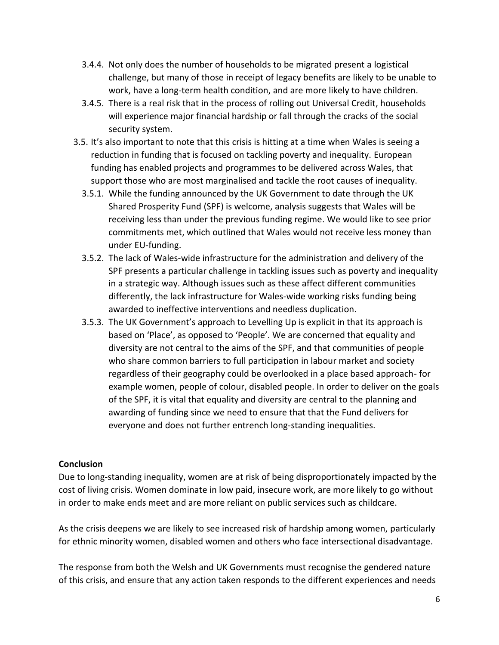- 3.4.4. Not only does the number of households to be migrated present a logistical challenge, but many of those in receipt of legacy benefits are likely to be unable to work, have a long-term health condition, and are more likely to have children.
- 3.4.5. There is a real risk that in the process of rolling out Universal Credit, households will experience major financial hardship or fall through the cracks of the social security system.
- 3.5. It's also important to note that this crisis is hitting at a time when Wales is seeing a reduction in funding that is focused on tackling poverty and inequality. European funding has enabled projects and programmes to be delivered across Wales, that support those who are most marginalised and tackle the root causes of inequality.
	- 3.5.1. While the funding announced by the UK Government to date through the UK Shared Prosperity Fund (SPF) is welcome, analysis suggests that Wales will be receiving less than under the previous funding regime. We would like to see prior commitments met, which outlined that Wales would not receive less money than under EU-funding.
	- 3.5.2. The lack of Wales-wide infrastructure for the administration and delivery of the SPF presents a particular challenge in tackling issues such as poverty and inequality in a strategic way. Although issues such as these affect different communities differently, the lack infrastructure for Wales-wide working risks funding being awarded to ineffective interventions and needless duplication.
	- 3.5.3. The UK Government's approach to Levelling Up is explicit in that its approach is based on 'Place', as opposed to 'People'. We are concerned that equality and diversity are not central to the aims of the SPF, and that communities of people who share common barriers to full participation in labour market and society regardless of their geography could be overlooked in a place based approach- for example women, people of colour, disabled people. In order to deliver on the goals of the SPF, it is vital that equality and diversity are central to the planning and awarding of funding since we need to ensure that that the Fund delivers for everyone and does not further entrench long-standing inequalities.

### **Conclusion**

Due to long-standing inequality, women are at risk of being disproportionately impacted by the cost of living crisis. Women dominate in low paid, insecure work, are more likely to go without in order to make ends meet and are more reliant on public services such as childcare.

As the crisis deepens we are likely to see increased risk of hardship among women, particularly for ethnic minority women, disabled women and others who face intersectional disadvantage.

The response from both the Welsh and UK Governments must recognise the gendered nature of this crisis, and ensure that any action taken responds to the different experiences and needs